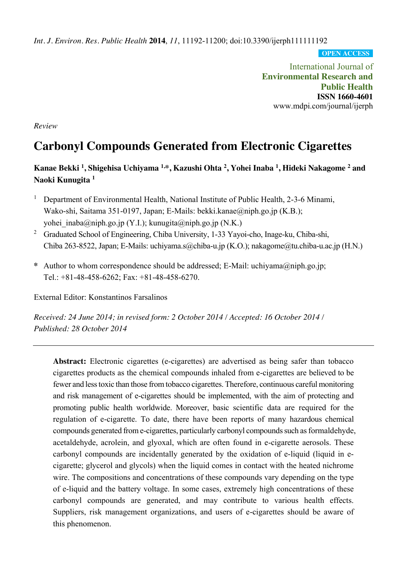*Int. J. Environ. Res. Public Health* **2014**, *11*, 11192-11200; doi:10.3390/ijerph111111192

**OPEN ACCESS**

International Journal of **Environmental Research and Public Health ISSN 1660-4601** www.mdpi.com/journal/ijerph

*Review*

# **Carbonyl Compounds Generated from Electronic Cigarettes**

# **Kanae Bekki 1 , Shigehisa Uchiyama 1,\*, Kazushi Ohta 2 , Yohei Inaba 1 , Hideki Nakagome 2 and Naoki Kunugita 1**

- <sup>1</sup> Department of Environmental Health, National Institute of Public Health, 2-3-6 Minami, Wako-shi, Saitama 351-0197, Japan; E-Mails: bekki.kanae@niph.go.jp (K.B.); yohei inaba@niph.go.jp (Y.I.); kunugita@niph.go.jp (N.K.)
- <sup>2</sup> Graduated School of Engineering, Chiba University, 1-33 Yayoi-cho, Inage-ku, Chiba-shi, Chiba 263-8522, Japan; E-Mails: uchiyama.s@chiba-u.jp (K.O.); nakagome@tu.chiba-u.ac.jp (H.N.)
- **\*** Author to whom correspondence should be addressed; E-Mail: uchiyama@niph.go.jp; Tel.: +81-48-458-6262; Fax: +81-48-458-6270.

External Editor: Konstantinos Farsalinos

*Received: 24 June 2014; in revised form: 2 October 2014 / Accepted: 16 October 2014 / Published: 28 October 2014*

Abstract: Electronic cigarettes (e-cigarettes) are advertised as being safer than tobacco cigarettes products as the chemical compounds inhaled from e-cigarettes are believed to be fewer and less toxic than those from tobacco cigarettes. Therefore, continuous careful monitoring and risk management of e-cigarettes should be implemented, with the aim of protecting and promoting public health worldwide. Moreover, basic scientific data are required for the regulation of e-cigarette. To date, there have been reports of many hazardous chemical compounds generated from e-cigarettes, particularly carbonyl compounds such as formaldehyde, acetaldehyde, acrolein, and glyoxal, which are often found in e-cigarette aerosols. These carbonyl compounds are incidentally generated by the oxidation of e-liquid (liquid in ecigarette; glycerol and glycols) when the liquid comes in contact with the heated nichrome wire. The compositions and concentrations of these compounds vary depending on the type of e-liquid and the battery voltage. In some cases, extremely high concentrations of these carbonyl compounds are generated, and may contribute to various health effects. Suppliers, risk management organizations, and users of e-cigarettes should be aware of this phenomenon.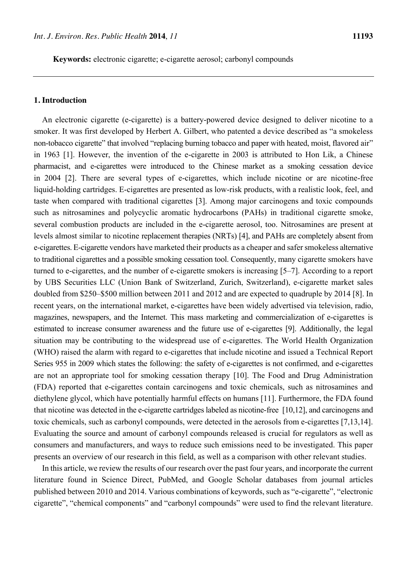**Keywords:** electronic cigarette; e-cigarette aerosol; carbonyl compounds

#### **1. Introduction**

An electronic cigarette (e-cigarette) is a battery-powered device designed to deliver nicotine to a smoker. It was first developed by Herbert A. Gilbert, who patented a device described as "a smokeless non-tobacco cigarette" that involved "replacing burning tobacco and paper with heated, moist, flavored air" in 1963 [1]. However, the invention of the e-cigarette in 2003 is attributed to Hon Lik, a Chinese pharmacist, and e-cigarettes were introduced to the Chinese market as a smoking cessation device in 2004 [2]. There are several types of e-cigarettes, which include nicotine or are nicotine-free liquid-holding cartridges. E-cigarettes are presented as low-risk products, with a realistic look, feel, and taste when compared with traditional cigarettes [3]. Among major carcinogens and toxic compounds such as nitrosamines and polycyclic aromatic hydrocarbons (PAHs) in traditional cigarette smoke, several combustion products are included in the e-cigarette aerosol, too. Nitrosamines are present at levels almost similar to nicotine replacement therapies (NRTs) [4], and PAHs are completely absent from e-cigarettes. E-cigarette vendors have marketed their products as a cheaper and safer smokeless alternative to traditional cigarettes and a possible smoking cessation tool. Consequently, many cigarette smokers have turned to e-cigarettes, and the number of e-cigarette smokers is increasing [5–7]. According to a report by UBS Securities LLC (Union Bank of Switzerland, Zurich, Switzerland), e-cigarette market sales doubled from \$250–\$500 million between 2011 and 2012 and are expected to quadruple by 2014 [8]. In recent years, on the international market, e-cigarettes have been widely advertised via television, radio, magazines, newspapers, and the Internet. This mass marketing and commercialization of e-cigarettes is estimated to increase consumer awareness and the future use of e-cigarettes [9]. Additionally, the legal situation may be contributing to the widespread use of e-cigarettes. The World Health Organization (WHO) raised the alarm with regard to e-cigarettes that include nicotine and issued a Technical Report Series 955 in 2009 which states the following: the safety of e-cigarettes is not confirmed, and e-cigarettes are not an appropriate tool for smoking cessation therapy [10]. The Food and Drug Administration (FDA) reported that e-cigarettes contain carcinogens and toxic chemicals, such as nitrosamines and diethylene glycol, which have potentially harmful effects on humans [11]. Furthermore, the FDA found that nicotine was detected in the e-cigarette cartridges labeled as nicotine-free [10,12], and carcinogens and toxic chemicals, such as carbonyl compounds, were detected in the aerosols from e-cigarettes [7,13,14]. Evaluating the source and amount of carbonyl compounds released is crucial for regulators as well as consumers and manufacturers, and ways to reduce such emissions need to be investigated. This paper presents an overview of our research in this field, as well as a comparison with other relevant studies.

In this article, we review the results of our research over the past four years, and incorporate the current literature found in Science Direct, PubMed, and Google Scholar databases from journal articles published between 2010 and 2014. Various combinations of keywords, such as "e-cigarette", "electronic cigarette", "chemical components" and "carbonyl compounds" were used to find the relevant literature.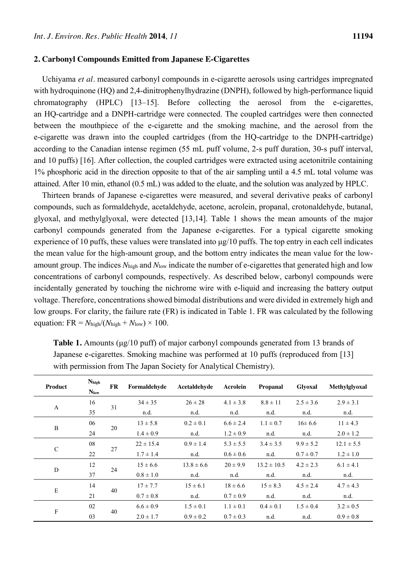#### **2. Carbonyl Compounds Emitted from Japanese E-Cigarettes**

Uchiyama *et al.* measured carbonyl compounds in e-cigarette aerosols using cartridges impregnated with hydroquinone (HQ) and 2,4-dinitrophenylhydrazine (DNPH), followed by high-performance liquid chromatography (HPLC) [13–15]. Before collecting the aerosol from the e-cigarettes, an HQ-cartridge and a DNPH-cartridge were connected. The coupled cartridges were then connected between the mouthpiece of the e-cigarette and the smoking machine, and the aerosol from the e-cigarette was drawn into the coupled cartridges (from the HQ-cartridge to the DNPH-cartridge) according to the Canadian intense regimen (55 mL puff volume, 2-s puff duration, 30-s puff interval, and 10 puffs) [16]. After collection, the coupled cartridges were extracted using acetonitrile containing 1% phosphoric acid in the direction opposite to that of the air sampling until a 4.5 mL total volume was attained. After 10 min, ethanol (0.5 mL) was added to the eluate, and the solution was analyzed by HPLC.

Thirteen brands of Japanese e-cigarettes were measured, and several derivative peaks of carbonyl compounds, such as formaldehyde, acetaldehyde, acetone, acrolein, propanal, crotonaldehyde, butanal, glyoxal, and methylglyoxal, were detected [13,14]. Table 1 shows the mean amounts of the major carbonyl compounds generated from the Japanese e-cigarettes. For a typical cigarette smoking experience of 10 puffs, these values were translated into μg/10 puffs. The top entry in each cell indicates the mean value for the high-amount group, and the bottom entry indicates the mean value for the lowamount group. The indices *N*high and *N*low indicate the number of e-cigarettes that generated high and low concentrations of carbonyl compounds, respectively. As described below, carbonyl compounds were incidentally generated by touching the nichrome wire with e-liquid and increasing the battery output voltage. Therefore, concentrations showed bimodal distributions and were divided in extremely high and low groups. For clarity, the failure rate (FR) is indicated in Table 1. FR was calculated by the following equation:  $FR = N_{\text{high}}/(N_{\text{high}} + N_{\text{low}}) \times 100$ .

| <b>Product</b> | Nhigh<br><b>Nlow</b> | <b>FR</b> | Formaldehyde  | Acetaldehyde   | Acrolein      | <b>Propanal</b> | <b>Glyoxal</b> | Methylglyoxal  |
|----------------|----------------------|-----------|---------------|----------------|---------------|-----------------|----------------|----------------|
| $\mathbf{A}$   | 16                   | 31        | $34 \pm 35$   | $26 \pm 28$    | $4.1 \pm 3.8$ | $8.8 \pm 11$    | $2.5 \pm 3.6$  | $2.9 \pm 3.1$  |
|                | 35                   |           | n.d.          | n.d.           | n.d.          | n.d.            | n.d.           | n.d.           |
| $\, {\bf B}$   | 06                   | 20        | $13 \pm 5.8$  | $0.2 \pm 0.1$  | $6.6 \pm 2.4$ | $1.1 \pm 0.7$   | $16 \pm 6.6$   | $11 \pm 4.3$   |
|                | 24                   |           | $1.4 \pm 0.9$ | n.d.           | $1.2 \pm 0.9$ | n.d.            | n.d.           | $2.0 \pm 1.2$  |
|                | 08                   |           | $22 \pm 15.4$ | $0.9 \pm 1.4$  | $5.3 \pm 5.5$ | $3.4 \pm 3.5$   | $9.9 \pm 5.2$  | $12.1 \pm 5.5$ |
| $\mathsf{C}$   | 22                   | 27        | $1.7 \pm 1.4$ | n.d.           | $0.6 \pm 0.6$ | n.d.            | $0.7 \pm 0.7$  | $1.2 \pm 1.0$  |
| D              | 12                   | 24        | $15 \pm 6.6$  | $13.8 \pm 6.6$ | $20 \pm 9.9$  | $13.2 \pm 10.5$ | $4.2 \pm 2.3$  | $6.1 \pm 4.1$  |
|                | 37                   |           | $0.8 \pm 1.0$ | n.d.           | n.d.          | n.d.            | n.d.           | n.d.           |
| E              | 14                   | 40        | $17 \pm 7.7$  | $15 \pm 6.1$   | $18 \pm 6.6$  | $15 \pm 8.3$    | $4.5 \pm 2.4$  | $4.7 \pm 4.3$  |
|                | 21                   |           | $0.7 \pm 0.8$ | n.d.           | $0.7 \pm 0.9$ | n.d.            | n.d.           | n.d.           |
| $\mathbf F$    | 02                   | 40        | $6.6 \pm 0.9$ | $1.5 \pm 0.1$  | $1.1 \pm 0.1$ | $0.4 \pm 0.1$   | $1.5 \pm 0.4$  | $3.2 \pm 0.5$  |
|                | 03                   |           | $2.0 \pm 1.7$ | $0.9 \pm 0.2$  | $0.7 \pm 0.3$ | n.d.            | n.d.           | $0.9 \pm 0.8$  |

**Table 1.** Amounts (μg/10 puff) of major carbonyl compounds generated from 13 brands of Japanese e-cigarettes. Smoking machine was performed at 10 puffs (reproduced from [13] with permission from The Japan Society for Analytical Chemistry).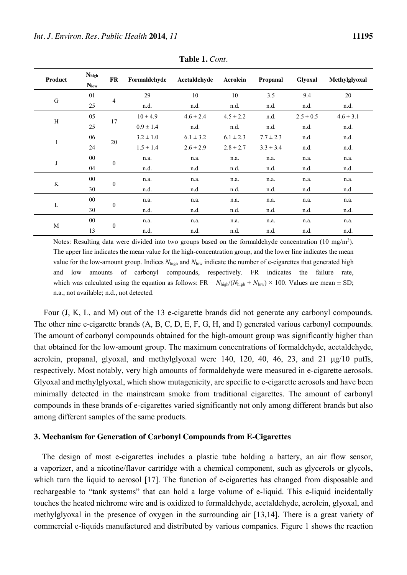| Product   | Nhigh<br><b>Nlow</b> | FR             | Formaldehyde  | Acetaldehyde  | Acrolein      | Propanal      | <b>Glyoxal</b> | Methylglyoxal |
|-----------|----------------------|----------------|---------------|---------------|---------------|---------------|----------------|---------------|
| ${\bf G}$ | 01                   | $\overline{4}$ | 29            | 10            | 10            | 3.5           | 9.4            | 20            |
|           | 25                   |                | n.d.          | n.d.          | n.d.          | n.d.          | n.d.           | n.d.          |
| H         | 05                   | 17             | $10 \pm 4.9$  | $4.6 \pm 2.4$ | $4.5 \pm 2.2$ | n.d.          | $2.5 \pm 0.5$  | $4.6 \pm 3.1$ |
|           | 25                   |                | $0.9 \pm 1.4$ | n.d.          | n.d.          | n.d.          | n.d.           | n.d.          |
| I         | 06                   | 20             | $3.2 \pm 1.0$ | $6.1 \pm 3.2$ | $6.1 \pm 2.3$ | $7.7 \pm 2.3$ | n.d.           | n.d.          |
|           | 24                   |                | $1.5 \pm 1.4$ | $2.6 \pm 2.9$ | $2.8 \pm 2.7$ | $3.3 \pm 3.4$ | n.d.           | n.d.          |
| J         | $00\,$               | $\theta$       | n.a.          | n.a.          | n.a.          | n.a.          | n.a.           | n.a.          |
|           | 04                   |                | n.d.          | n.d.          | n.d.          | n.d.          | n.d.           | n.d.          |
| K         | $00\,$               | $\theta$       | n.a.          | n.a.          | n.a.          | n.a.          | n.a.           | n.a.          |
|           | 30                   |                | n.d.          | n.d.          | n.d.          | n.d.          | n.d.           | n.d.          |
| L         | $00\,$               | $\mathbf{0}$   | n.a.          | n.a.          | n.a.          | n.a.          | n.a.           | n.a.          |
|           | 30                   |                | n.d.          | n.d.          | n.d.          | n.d.          | n.d.           | n.d.          |
| M         | $00\,$               | $\mathbf{0}$   | n.a.          | n.a.          | n.a.          | n.a.          | n.a.           | n.a.          |
|           | 13                   |                | n.d.          | n.d.          | n.d.          | n.d.          | n.d.           | n.d.          |

**Table 1.** *Cont.*

Notes: Resulting data were divided into two groups based on the formaldehyde concentration (10 mg/m<sup>3</sup>). The upper line indicates the mean value for the high-concentration group, and the lower line indicates the mean value for the low-amount group. Indices  $N_{\text{high}}$  and  $N_{\text{low}}$  indicate the number of e-cigarettes that generated high and low amounts of carbonyl compounds, respectively. FR indicates the failure rate, which was calculated using the equation as follows:  $FR = N_{\text{high}}/(N_{\text{high}} + N_{\text{low}}) \times 100$ . Values are mean  $\pm$  SD; n.a., not available; n.d., not detected.

Four (J, K, L, and M) out of the 13 e-cigarette brands did not generate any carbonyl compounds. The other nine e-cigarette brands (A, B, C, D, E, F, G, H, and I) generated various carbonyl compounds. The amount of carbonyl compounds obtained for the high-amount group was significantly higher than that obtained for the low-amount group. The maximum concentrations of formaldehyde, acetaldehyde, acrolein, propanal, glyoxal, and methylglyoxal were 140, 120, 40, 46, 23, and 21 μg/10 puffs, respectively. Most notably, very high amounts of formaldehyde were measured in e-cigarette aerosols. Glyoxal and methylglyoxal, which show mutagenicity, are specific to e-cigarette aerosols and have been minimally detected in the mainstream smoke from traditional cigarettes. The amount of carbonyl compounds in these brands of e-cigarettes varied significantly not only among different brands but also among different samples of the same products.

#### **3. Mechanism for Generation of Carbonyl Compounds from E-Cigarettes**

The design of most e-cigarettes includes a plastic tube holding a battery, an air flow sensor, a vaporizer, and a nicotine/flavor cartridge with a chemical component, such as glycerols or glycols, which turn the liquid to aerosol [17]. The function of e-cigarettes has changed from disposable and rechargeable to "tank systems" that can hold a large volume of e-liquid. This e-liquid incidentally touches the heated nichrome wire and is oxidized to formaldehyde, acetaldehyde, acrolein, glyoxal, and methylglyoxal in the presence of oxygen in the surrounding air [13,14]. There is a great variety of commercial e-liquids manufactured and distributed by various companies. Figure 1 shows the reaction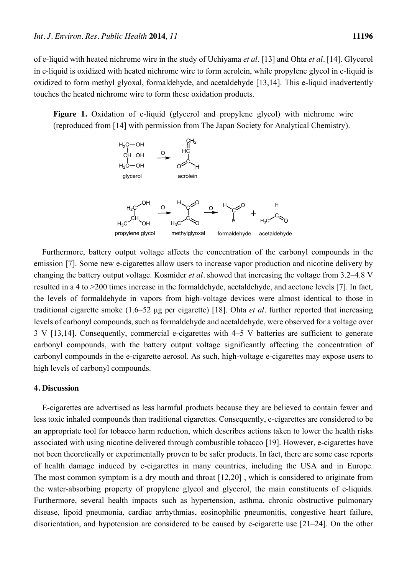of e-liquid with heated nichrome wire in the study of Uchiyama *et al.* [13] and Ohta *et al.* [14]. Glycerol in e-liquid is oxidized with heated nichrome wire to form acrolein, while propylene glycol in e-liquid is oxidized to form methyl glyoxal, formaldehyde, and acetaldehyde [13,14]. This e-liquid inadvertently touches the heated nichrome wire to form these oxidation products.

**Figure 1.** Oxidation of e-liquid (glycerol and propylene glycol) with nichrome wire (reproduced from [14] with permission from The Japan Society for Analytical Chemistry).



Furthermore, battery output voltage affects the concentration of the carbonyl compounds in the emission [7]. Some new e-cigarettes allow users to increase vapor production and nicotine delivery by changing the battery output voltage. Kosmider *et al.* showed that increasing the voltage from 3.2–4.8 V resulted in a 4 to >200 times increase in the formaldehyde, acetaldehyde, and acetone levels [7]. In fact, the levels of formaldehyde in vapors from high-voltage devices were almost identical to those in traditional cigarette smoke (1.6–52 μg per cigarette) [18]. Ohta *et al.* further reported that increasing levels of carbonyl compounds, such as formaldehyde and acetaldehyde, were observed for a voltage over 3 V [13,14]. Consequently, commercial e-cigarettes with 4–5 V batteries are sufficient to generate carbonyl compounds, with the battery output voltage significantly affecting the concentration of carbonyl compounds in the e-cigarette aerosol. As such, high-voltage e-cigarettes may expose users to high levels of carbonyl compounds.

## **4. Discussion**

E-cigarettes are advertised as less harmful products because they are believed to contain fewer and less toxic inhaled compounds than traditional cigarettes. Consequently, e-cigarettes are considered to be an appropriate tool for tobacco harm reduction, which describes actions taken to lower the health risks associated with using [nicotine](http://en.wikipedia.org/wiki/Nicotine) delivered through combustible [tobacco](http://en.wikipedia.org/wiki/Tobacco) [19]. However, e-cigarettes have not been theoretically or experimentally proven to be safer products. In fact, there are some case reports of health damage induced by e-cigarettes in many countries, including the USA and in Europe. The most common symptom is a dry mouth and throat [12,20] , which is considered to originate from the water-absorbing property of propylene glycol and glycerol, the main constituents of e-liquids. Furthermore, several health impacts such as hypertension, asthma, chronic obstructive pulmonary disease, lipoid pneumonia, cardiac arrhythmias, eosinophilic pneumonitis, congestive heart failure, disorientation, and hypotension are considered to be caused by e-cigarette use [21–24]. On the other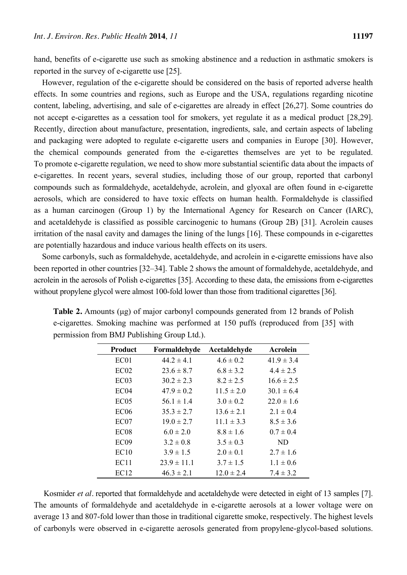hand, benefits of e-cigarette use such as smoking abstinence and a reduction in asthmatic smokers is reported in the survey of e-cigarette use [25].

However, regulation of the e-cigarette should be considered on the basis of reported adverse health effects. In some countries and regions, such as Europe and the USA, regulations regarding nicotine content, labeling, advertising, and sale of e-cigarettes are already in effect [26,27]. Some countries do not accept e-cigarettes as a cessation tool for smokers, yet regulate it as a medical product [28,29]. Recently, direction about manufacture, presentation, ingredients, sale, and certain aspects of labeling and packaging were adopted to regulate e-cigarette users and companies in Europe [30]. However, the chemical compounds generated from the e-cigarettes themselves are yet to be regulated. To promote e-cigarette regulation, we need to show more substantial scientific data about the impacts of e-cigarettes. In recent years, several studies, including those of our group, reported that carbonyl compounds such as formaldehyde, acetaldehyde, acrolein, and glyoxal are often found in e-cigarette aerosols, which are considered to have toxic effects on human health. Formaldehyde is classified as a human carcinogen (Group 1) by the International Agency for Research on Cancer (IARC), and acetaldehyde is classified as possible carcinogenic to humans (Group 2B) [31]. Acrolein causes irritation of the nasal cavity and damages the lining of the lungs [16]. These compounds in e-cigarettes are potentially hazardous and induce various health effects on its users.

Some carbonyls, such as formaldehyde, acetaldehyde, and acrolein in e-cigarette emissions have also been reported in other countries [32–34]. Table 2 shows the amount of formaldehyde, acetaldehyde, and acrolein in the aerosols of Polish e-cigarettes [35]. According to these data, the emissions from e-cigarettes without propylene glycol were almost 100-fold lower than those from traditional cigarettes [36].

| <b>Product</b>   | Formaldehyde    | Acetaldehyde   | <b>Acrolein</b> |
|------------------|-----------------|----------------|-----------------|
| EC01             | $44.2 \pm 4.1$  | $4.6 \pm 0.2$  | $41.9 \pm 3.4$  |
| EC02             | $23.6 \pm 8.7$  | $6.8 \pm 3.2$  | $4.4 \pm 2.5$   |
| EC03             | $30.2 \pm 2.3$  | $8.2 \pm 2.5$  | $16.6 \pm 2.5$  |
| EC <sub>04</sub> | $47.9 \pm 0.2$  | $11.5 \pm 2.0$ | $30.1 \pm 6.4$  |
| EC <sub>05</sub> | $56.1 \pm 1.4$  | $3.0 \pm 0.2$  | $22.0 \pm 1.6$  |
| EC <sub>06</sub> | $35.3 \pm 2.7$  | $13.6 \pm 2.1$ | $2.1 \pm 0.4$   |
| EC07             | $19.0 \pm 2.7$  | $11.1 \pm 3.3$ | $8.5 \pm 3.6$   |
| EC <sub>08</sub> | $6.0 \pm 2.0$   | $8.8 \pm 1.6$  | $0.7 \pm 0.4$   |
| EC <sub>09</sub> | $3.2 \pm 0.8$   | $3.5 \pm 0.3$  | ND              |
| EC10             | $3.9 \pm 1.5$   | $2.0 \pm 0.1$  | $2.7 \pm 1.6$   |
| EC11             | $23.9 \pm 11.1$ | $3.7 \pm 1.5$  | $1.1 \pm 0.6$   |
| EC <sub>12</sub> | $46.3 \pm 2.1$  | $12.0 \pm 2.4$ | $7.4 \pm 3.2$   |

**Table 2.** Amounts (μg) of major carbonyl compounds generated from 12 brands of Polish e-cigarettes. Smoking machine was performed at 150 puffs (reproduced from [35] with permission from BMJ Publishing Group Ltd.).

Kosmider *et al.* reported that formaldehyde and acetaldehyde were detected in eight of 13 samples [7]. The amounts of formaldehyde and acetaldehyde in e-cigarette aerosols at a lower voltage were on average 13 and 807-fold lower than those in traditional cigarette smoke, respectively. The highest levels of carbonyls were observed in e-cigarette aerosols generated from propylene-glycol-based solutions.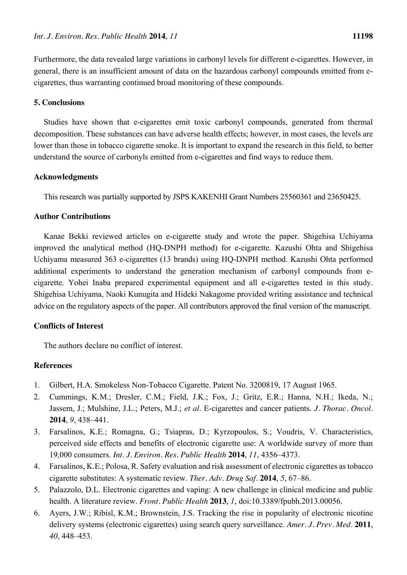Furthermore, the data revealed large variations in carbonyl levels for different e-cigarettes. However, in general, there is an insufficient amount of data on the hazardous carbonyl compounds emitted from ecigarettes, thus warranting continued broad monitoring of these compounds.

# **5. Conclusions**

Studies have shown that e-cigarettes emit toxic carbonyl compounds, generated from thermal decomposition. These substances can have adverse health effects; however, in most cases, the levels are lower than those in tobacco cigarette smoke. It is important to expand the research in this field, to better understand the source of carbonyls emitted from e-cigarettes and find ways to reduce them.

#### **Acknowledgments**

This research was partially supported by JSPS KAKENHI Grant Numbers 25560361 and 23650425.

## **Author Contributions**

Kanae Bekki reviewed articles on e-cigarette study and wrote the paper. Shigehisa Uchiyama improved the analytical method (HQ-DNPH method) for e-cigarette. Kazushi Ohta and Shigehisa Uchiyama measured 363 e-cigarettes (13 brands) using HQ-DNPH method. Kazushi Ohta performed additional experiments to understand the generation mechanism of carbonyl compounds from ecigarette. Yohei Inaba prepared experimental equipment and all e-cigarettes tested in this study. Shigehisa Uchiyama, Naoki Kunugita and Hideki Nakagome provided writing assistance and technical advice on the regulatory aspects of the paper. All contributors approved the final version of the manuscript.

## **Conflicts of Interest**

The authors declare no conflict of interest.

# **References**

- 1. Gilbert, H.A. Smokeless Non-Tobacco Cigarette. Patent No. 3200819, 17 August 1965.
- 2. Cummings, K.M.; Dresler, C.M.; Field, J.K.; Fox, J.; Gritz, E.R.; Hanna, N.H.; Ikeda, N.; Jassem, J.; Mulshine, J.L.; Peters, M.J.; *et al*. E-cigarettes and cancer patients. *J. Thorac. Oncol.* **2014**, *9*, 438–441.
- 3. Farsalinos, K.E.; Romagna, G.; Tsiapras, D.; Kyrzopoulos, S.; Voudris, V. Characteristics, perceived side effects and benefits of electronic cigarette use: A worldwide survey of more than 19,000 consumers. *Int. J. Environ. Res. Public Health* **2014**, *11*, 4356–4373.
- 4. Farsalinos, K.E.; Polosa, R. Safety evaluation and risk assessment of electronic cigarettes as tobacco cigarette substitutes: A systematic review. *Ther. Adv. Drug Saf.* **2014**, *5*, 67–86.
- 5. Palazzolo, D.L. Electronic cigarettes and vaping: A new challenge in clinical medicine and public health. A literature review. *Front. Public Health* **2013**, *1*, doi:10.3389/fpubh.2013.00056.
- 6. Ayers, J.W.; Ribisl, K.M.; Brownstein, J.S. Tracking the rise in popularity of electronic nicotine delivery systems (electronic cigarettes) using search query surveillance. *Amer. J. Prev. Med.* **2011**, *40*, 448–453.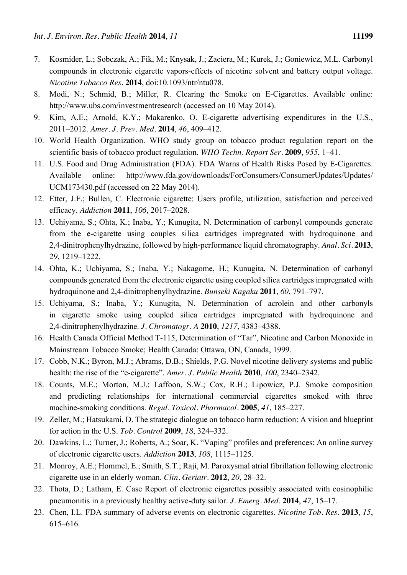- 7. Kosmider, L.; Sobczak, A.; Fik, M.; Knysak, J.; Zaciera, M.; Kurek, J.; Goniewicz, M.L. Carbonyl compounds in electronic cigarette vapors-effects of nicotine solvent and battery output voltage. *Nicotine Tobacco Res.* **2014**, doi:10.1093/ntr/ntu078.
- 8. Modi, N.; Schmid, B.; Miller, R. Clearing the Smoke on E-Cigarettes. Available online: http://www.ubs.com/investmentresearch (accessed on 10 May 2014).
- 9. Kim, A.E.; Arnold, K.Y.; Makarenko, O. E-cigarette advertising expenditures in the U.S., 2011–2012. *Amer. J. Prev. Med.* **2014**, *46*, 409–412.
- 10. World Health Organization. WHO study group on tobacco product regulation report on the scientific basis of tobacco product regulation. *WHO Techn. Report Ser.* **2009**, *955*, 1–41.
- 11. U.S. Food and Drug Administration (FDA). FDA Warns of Health Risks Posed by E-Cigarettes. Available online: http://www.fda.gov/downloads/ForConsumers/ConsumerUpdates/Updates/ UCM173430.pdf (accessed on 22 May 2014).
- 12. Etter, J.F.; Bullen, C. Electronic cigarette: Users profile, utilization, satisfaction and perceived efficacy. *Addiction* **2011**, *106*, 2017–2028.
- 13. Uchiyama, S.; Ohta, K.; Inaba, Y.; Kunugita, N. Determination of carbonyl compounds generate from the e-cigarette using couples silica cartridges impregnated with hydroquinone and 2,4-dinitrophenylhydrazine, followed by high-performance liquid chromatography. *Anal. Sci.* **2013**, *29*, 1219–1222.
- 14. Ohta, K.; Uchiyama, S.; Inaba, Y.; Nakagome, H.; Kunugita, N. Determination of carbonyl compounds generated from the electronic cigarette using coupled silica cartridges impregnated with hydroquinone and 2,4-dinitrophenylhydrazine. *Bunseki Kagaku* **2011**, *60*, 791–797.
- 15. Uchiyama, S.; Inaba, Y.; Kunugita, N. Determination of acrolein and other carbonyls in cigarette smoke using coupled silica cartridges impregnated with hydroquinone and 2,4-dinitrophenylhydrazine. *J. Chromatogr. A* **2010**, *1217*, 4383–4388.
- 16. Health Canada Official Method T-115, Determination of "Tar", Nicotine and Carbon Monoxide in Mainstream Tobacco Smoke; Health Canada: Ottawa, ON, Canada, 1999.
- 17. Cobb, N.K.; Byron, M.J.; Abrams, D.B.; Shields, P.G. Novel nicotine delivery systems and public health: the rise of the "e-cigarette". *Amer. J. Public Health* **2010**, *100*, 2340–2342.
- 18. Counts, M.E.; Morton, M.J.; Laffoon, S.W.; Cox, R.H.; Lipowicz, P.J. Smoke composition and predicting relationships for international commercial cigarettes smoked with three machine-smoking conditions. *Regul. Toxicol. Pharmacol.* **2005**, *41*, 185–227.
- 19. Zeller, M.; Hatsukami, D. The strategic dialogue on tobacco harm reduction: A vision and blueprint for action in the U.S. *Tob. Control* **2009**, *18*, 324–332.
- 20. Dawkins, L.; Turner, J.; Roberts, A.; Soar, K. "Vaping" profiles and preferences: An online survey of electronic cigarette users. *Addiction* **2013**, *108*, 1115–1125.
- 21. Monroy, A.E.; Hommel, E.; Smith, S.T.; Raji, M. Paroxysmal atrial fibrillation following electronic cigarette use in an elderly woman. *Clin. Geriatr.* **2012**, *20*, 28–32.
- 22. Thota, D.; Latham, E. Case Report of electronic cigarettes possibly associated with eosinophilic pneumonitis in a previously healthy active-duty sailor. *J. Emerg. Med.* **2014**, *47*, 15–17.
- 23. Chen, I.L. FDA summary of adverse events on electronic cigarettes. *Nicotine Tob. Res.* **2013**, *15*, 615–616.